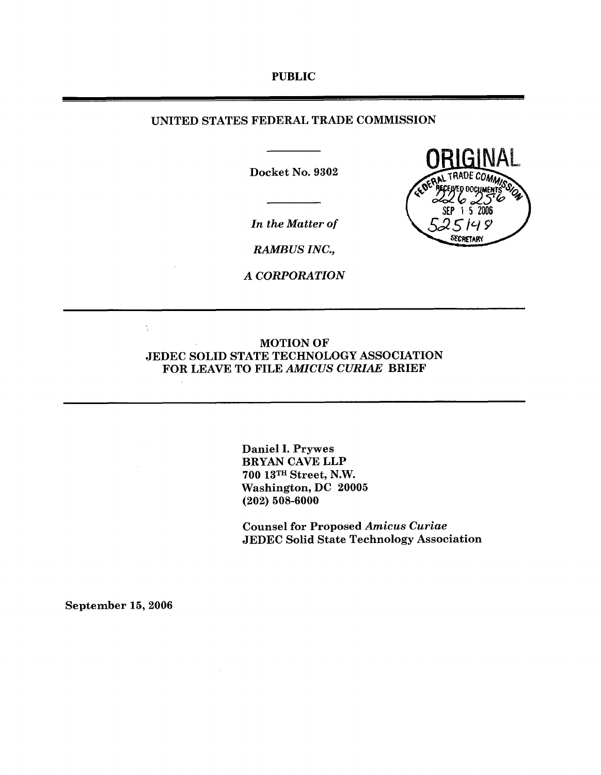#### **PUBLIC**

# **UNITED STATES FEDERAL TRADE COMMISSION**

**Docket No. 9302** 

*In the Matter of* 

*RAMB US INC.,* 

*A CORPORATION* 



**Daniel I. Prywes BRYAN CAVE LLP 700 13TH Street, N.W. Washington, DC 20005 (202) 508-6000** 

**Counsel for Proposed** *Amicus Curiae*  **JEDEC Solid State Technology Association** 

**September 15,2006** 

 $\frac{1}{2}$ 

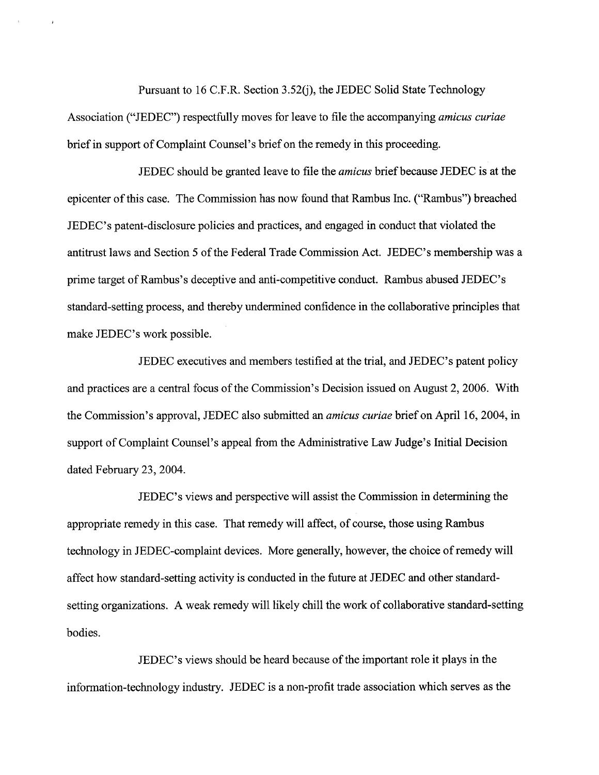Pursuant to 16 C.F.R. Section 3.52(j), the JEDEC Solid State Technology Association ("JEDEC") respectfully moves for leave to file the accompanying *amicus curiae*  brief in support of Complaint Counsel's brief on the remedy in this proceeding.

JEDEC should be granted leave to file the *amicus* brief because JEDEC is at the epicenter of this case. The Commission has now found that Rambus Inc. ("Rambus") breached JEDEC's patent-disclosure policies and practices, and engaged in conduct that violated the antitrust laws and Section 5 of the Federal Trade Commission Act. JEDEC's membership was a prime target of Rambus's deceptive and anti-competitive conduct. Rambus abused JEDEC's standard-setting process, and thereby undermined confidence in the collaborative principles that make JEDEC's work possible.

JEDEC executives and members testified at the trial, and JEDEC's patent policy and practices are a central focus of the Commission's Decision issued on August 2,2006. With the Commission's approval, JEDEC also submitted an *amicus curiae* brief on April 16,2004, in support of Complaint Counsel's appeal from the Administrative Law Judge's Initial Decision dated February 23, 2004.

JEDEC's views and perspective will assist the Commission in determining the appropriate remedy in this case. That remedy will affect, of course, those using Rambus technology in JEDEC-complaint devices. More generally, however, the choice of remedy will affect how standard-setting activity is conducted in the future at JEDEC and other standardsetting organizations. A weak remedy will likely chill the work of collaborative standard-setting bodies.

JEDEC's views should be heard because of the important role it plays in the information-technology industry. JEDEC is a non-profit trade association which serves as the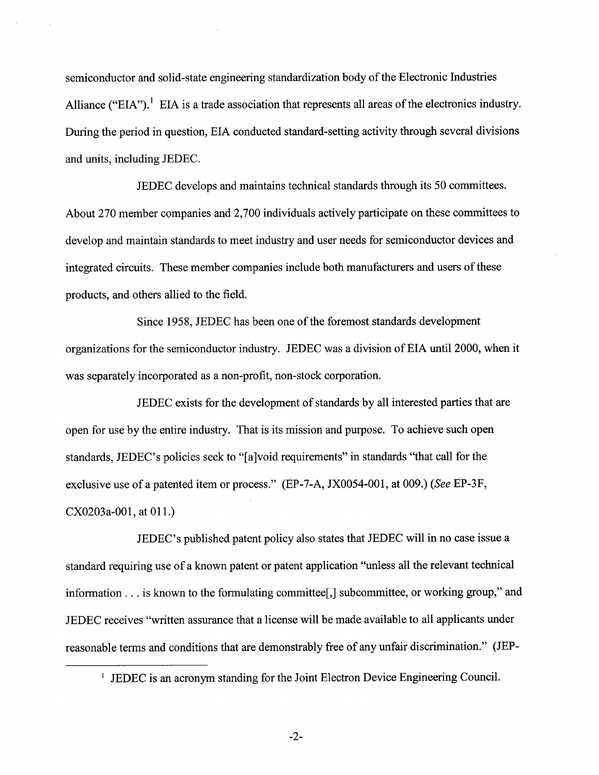semiconductor and solid-state engineering standardization body of the Electronic Industries Alliance ("EIA").<sup>1</sup> EIA is a trade association that represents all areas of the electronics industry. During the period in question, EIA conducted standard-setting activity through several divisions and units, including JEDEC.

JEDEC develops and maintains technical standards through its 50 committees. About 270 member companies and 2,700 individuals actively participate on these committees to develop and maintain standards to meet industry and user needs for semiconductor devices and integrated circuits. These member companies include both manufacturers and users of these products, and others allied to the field.

Since 1958, JEDEC has been one of the foremost standards development organizations for the semiconductor industry. JEDEC was a division of EIA until 2000, when it was separately incorporated as a non-profit, non-stock corporation.

JEDEC exists for the development of standards by all interested parties that are open for use by the entire industry. That is its mission and purpose. To achieve such open standards, JEDEC's policies seek to "[alvoid requirements" in standards "that call for the exclusive use of a patented item or process." (EP-7-A, JX0054-001, at 009.) (See EP-3F,  $CX0203a-001$ , at  $011$ .)

JEDEC's published patent policy also states that JEDEC will in no case issue a standard requiring use of a known patent or patent application "unless all the relevant technical information . . . is known to the formulating committee[,] subcommittee, or working group," and JEDEC receives "written assurance that a license will be made available to all applicants under reasonable terms and conditions that are demonstrably free of any unfair discrimination." (JEP-

<sup>&#</sup>x27; JEDEC is an acronym standing for the Joint Electron Device Engineering Council.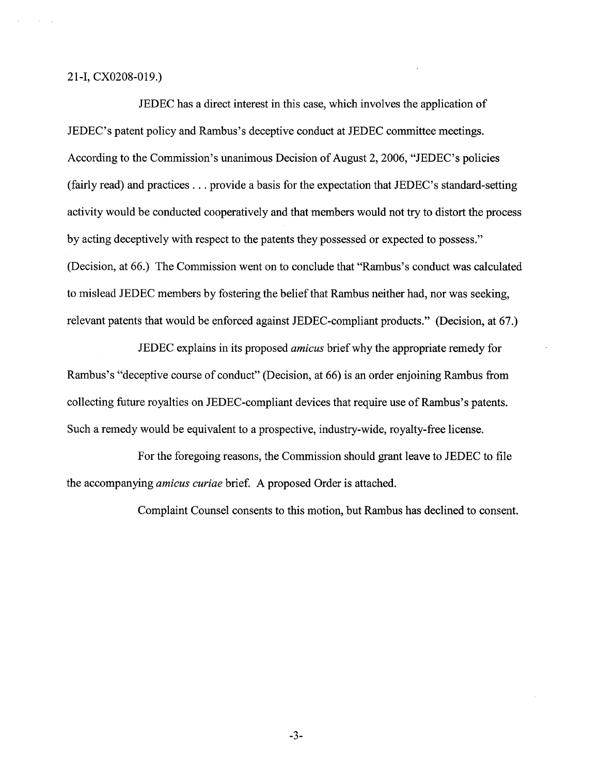2 1 -I, CXO208-019.)

JEDEC has a direct interest in this case, which involves the application of JEDEC's patent policy and Rambus's deceptive conduct at JEDEC committee meetings. According to the Commission's unanimous Decision of August 2,2006, "JEDEC's policies (fairly read) and practices . . . provide a basis for the expectation that JEDEC's standard-setting activity would be conducted cooperatively and that members would not try to distort the process by acting deceptively with respect to the patents they possessed or expected to possess." (Decision, at 66.) The Commission went on to conclude that "Rambus's conduct was calculated to mislead JEDEC members by fostering the belief that Rambus neither had, nor was seeking, relevant patents that would be enforced against JEDEC-compliant products." (Decision, at 67.)

JEDEC explains in its proposed *amicus* brief why the appropriate remedy for Rambus's "deceptive course of conduct" (Decision, at 66) is an order enjoining Rambus from collecting future royalties on JEDEC-compliant devices that require use of Rambus's patents. Such a remedy would be equivalent to a prospective, industry-wide, royalty-free license.

For the foregoing reasons, the Commission should grant leave to JEDEC to file the accompanying *amicus curiae* brief. A proposed Order is attached.

Complaint Counsel consents to this motion, but Rambus has declined to consent.

 $-3-$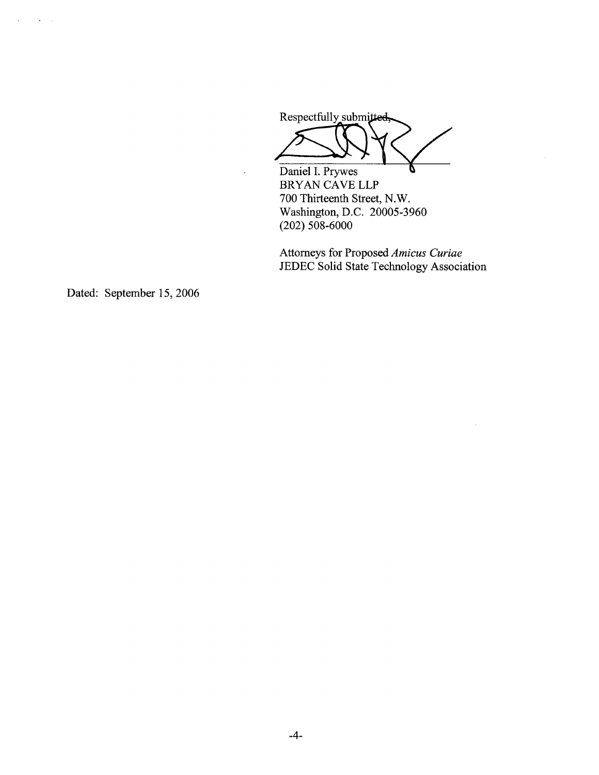Respectfully submitted Respectfully submitted

Daniel I. Prywes BRYAN CAVE LLP 700 Thirteenth Street, N.W. Washington, D.C. 20005-3960 (202) 508-6000

 $\overline{a}$ 

Attorneys for Proposed **Amicus Curiae**  JEDEC Solid State Technology Association

 $\sim$ 

Dated: September 15,2006

 $\mathcal{L}^{\mathcal{L}}$ 

 $\mathbf{a}=\mathbf{a}$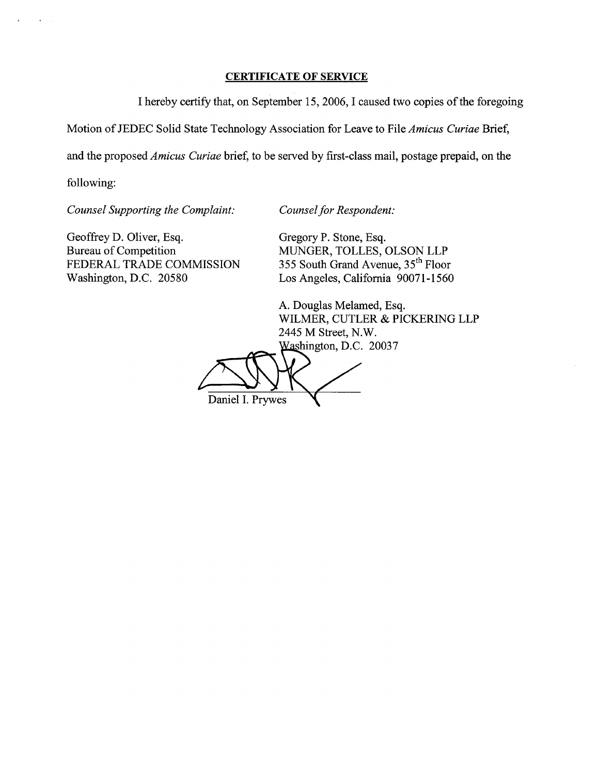### **CERTIFICATE OF SERVICE**

I hereby certify that, on September 15,2006, I caused two copies of the foregoing

Motion of JEDEC Solid State Technology Association for Leave to File *Amicus Curiae* Brief,

and the proposed *Amicus Curiae* brief, to be served by first-class mail, postage prepaid, on the

following:

*Counsel Supporting the Complaint: Counsel for Respondent:* 

Geoffrey D. Oliver, Esq. Gregory P. Stone, Esq. Gregory P. Stone, Esq. Gregory P. Stone, Esq. Bureau of Competition<br>
FEDERAL TRADE COMMISSION<br>
355 South Grand Avenue,  $35<sup>th</sup>$  Floor FEDERAL TRADE COMMISSION 355 South Grand Avenue, 35<sup>th</sup> Floor<br>Washington, D.C. 20580 Los Angeles, California 90071-1560

Los Angeles, California 90071-1560

A. Douglas Melamed, Esq. WILMER, CUTLER & PICKERING LLP 2445 M Street, N.W. Washington, D.C. 20037

ify that, on September 15, 2006, I caused two copi<br>te Technology Association for Leave to File *Amic*<br>*uriae* brief, to be served by first-class mail, postag<br>*nplaint:* Counsel for Respondent:<br>Gregory P. Stone, Esq.<br>MUNGER Daniel I. Prywes